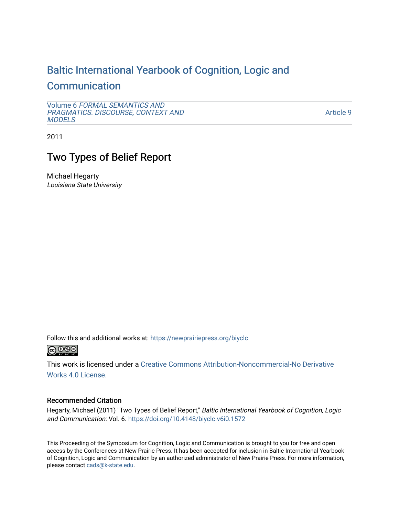# [Baltic International Yearbook of Cognition, Logic and](https://newprairiepress.org/biyclc)

## **[Communication](https://newprairiepress.org/biyclc)**

Volume 6 [FORMAL SEMANTICS AND](https://newprairiepress.org/biyclc/vol6) [PRAGMATICS. DISCOURSE, CONTEXT AND](https://newprairiepress.org/biyclc/vol6)  **[MODELS](https://newprairiepress.org/biyclc/vol6)** 

[Article 9](https://newprairiepress.org/biyclc/vol6/iss1/9) 

2011

# Two Types of Belief Report

Michael Hegarty Louisiana State University

Follow this and additional works at: [https://newprairiepress.org/biyclc](https://newprairiepress.org/biyclc?utm_source=newprairiepress.org%2Fbiyclc%2Fvol6%2Fiss1%2F9&utm_medium=PDF&utm_campaign=PDFCoverPages) 



This work is licensed under a [Creative Commons Attribution-Noncommercial-No Derivative](https://creativecommons.org/licenses/by-nc-nd/4.0/)  [Works 4.0 License](https://creativecommons.org/licenses/by-nc-nd/4.0/).

### Recommended Citation

Hegarty, Michael (2011) "Two Types of Belief Report," Baltic International Yearbook of Cognition, Logic and Communication: Vol. 6. <https://doi.org/10.4148/biyclc.v6i0.1572>

This Proceeding of the Symposium for Cognition, Logic and Communication is brought to you for free and open access by the Conferences at New Prairie Press. It has been accepted for inclusion in Baltic International Yearbook of Cognition, Logic and Communication by an authorized administrator of New Prairie Press. For more information, please contact [cads@k-state.edu.](mailto:cads@k-state.edu)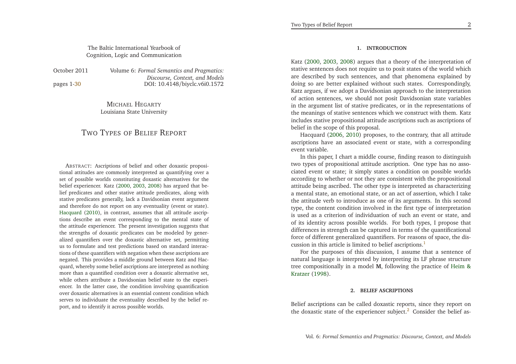### The Baltic International Yearbook ofCognition, Logic and Communication

October 2011

pages 1[-30](#page-15-0)

 *Formal Semantics and Pragmatics: Discourse, Context, and Models*DOI: 10.4148/biyclc.v6i0.1572

> MICHAEL <sup>H</sup>EGARTYLouisiana State University

### <span id="page-1-0"></span>TWO <sup>T</sup>YPES OF <sup>B</sup>ELIEF <sup>R</sup>EPORT

<span id="page-1-1"></span>ABSTRACT: Ascriptions of belief and other doxastic propositional attitudes are commonly interpreted as quantifying over <sup>a</sup> set of possible worlds constituting doxastic alternatives for the belief experiencer. Katz [\(2000](#page-15-1), [2003](#page-15-2), [2008\)](#page-15-3) has argued that belief predicates and other stative attitude predicates, along with stative predicates generally, lack <sup>a</sup> Davidsonian event argumen<sup>t</sup> and therefore do not repor<sup>t</sup> on any eventuality (event or state). [Hacquard](#page-15-4) [\(2010](#page-15-4)), in contrast, assumes that all attitude ascriptions describe an event corresponding to the mental state of the attitude experiencer. The presen<sup>t</sup> investigation suggests that the strengths of doxastic predicates can be modeled by gener alized quantifiers over the doxastic alternative set, permitting us to formulate and test predictions based on standard interactions of these quantifiers with negation when these ascriptions are negated. This provides <sup>a</sup> middle ground between Katz and Hacquard, whereby some belief ascriptions are interpreted as nothing more than <sup>a</sup> quantified condition over <sup>a</sup> doxastic alternative set, while others attribute <sup>a</sup> Davidsonian belief state to the experiencer. In the latter case, the condition involving quantification over doxastic alternatives is an essential content condition which serves to individuate the eventuality described by the belief report, and to identify it across possible worlds.

#### **1. INTRODUCTION**

Katz [\(2000,](#page-15-1) [2003](#page-15-2), [2008](#page-15-3)) argues that <sup>a</sup> theory of the interpretation of stative sentences does not require us to posit states of the world which are described by such sentences, and that <sup>p</sup>henomena explained by doing so are better explained without such states. Correspondingly, Katz argues, if we adopt <sup>a</sup> Davidsonian approach to the interpretation of action sentences, we should not posit Davidsonian state variables in the argumen<sup>t</sup> list of stative predicates, or in the representations of the meanings of stative sentences which we construct with them. Katz includes stative propositional attitude ascriptions such as ascriptions of belief in the scope of this proposal.

Hacquard [\(2006,](#page-15-5) [2010](#page-15-4)) proposes, to the contrary, that all attitude ascriptions have an associated event or state, with <sup>a</sup> correspondingevent variable.

In this paper, <sup>I</sup> chart <sup>a</sup> middle course, finding reason to distinguish two types of propositional attitude ascription. One type has no associated event or state; it simply states <sup>a</sup> condition on possible worlds according to whether or not they are consistent with the propositional attitude being ascribed. The other type is interpreted as characterizing <sup>a</sup> mental state, an emotional state, or an act of assertion, which <sup>I</sup> take the attitude verb to introduce as one of its arguments. In this second type, the content condition involved in the first type of interpretation is used as <sup>a</sup> criterion of individuation of such an event or state, and of its identity across possible worlds. For both types, <sup>I</sup> propose that differences in strength can be captured in terms of the quantificationalforce of different generalized quantifiers. For reasons of space, the dis-cussion in this article is limited to belief ascriptions.<sup>[1](#page-14-0)</sup>

For the purposes of this discussion, <sup>I</sup> assume that <sup>a</sup> sentence of natural language is interpreted by interpreting its LF <sup>p</sup>hrase structure tree compositionally in <sup>a</sup> model **<sup>M</sup>**, followin[g](#page-15-6) the practice of Heim &Kratzer [\(1998](#page-15-6)).

#### **2. BELIEF ASCRIPTIONS**

Belief ascriptions can be called doxastic reports, since they repor<sup>t</sup> onthe doxastic state of the experiencer subject. $^2$  $^2$  Consider the belief as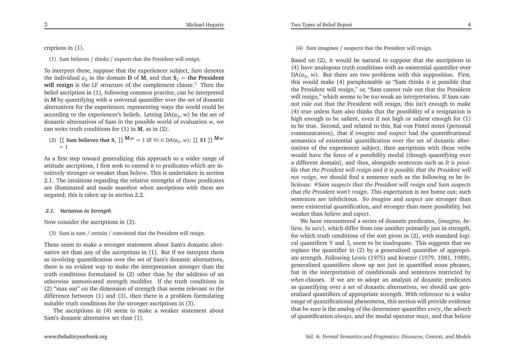criptions in (1).

(1) Sam believes / thinks / expects that the President will resign.

To interpret these, suppose that the experiencer subject, *Sam* denotes the individual  $a_3$  in the domain **D** of **M**, and that  $S_1$  = **the President**<br>will notice in the US structure of the concelerated along 3. Then the **will resign** is the LF structure of the complement clause. [3](#page-14-2) Then the belief ascription in (1), following common practice, can be interpreted in**M** by quantifying with <sup>a</sup> universal quantifier over the set of doxastic alternatives for the experiencer, representing ways the world could beaccording to the experiencer's beliefs. Letting  $\mathrm{DA}(a_{3},\,w)$  be the set of doxastic alternatives of Sam in the possible world of evaluation*<sup>w</sup>*, wecan write truth conditions for (1) in**<sup>M</sup>**, as in (2).

(2)  $\left[ \begin{bmatrix} \text{Sam believes that } S_1 \end{bmatrix} \right]^{M,w} = 1 \text{ iff } \forall v \in DA(a_3, w): \left[ \begin{bmatrix} \text{S1} \end{bmatrix} \right]^{M,w}$  $= 1$ 

As <sup>a</sup> first step toward generalizing this approach to <sup>a</sup> wider range of attitude ascriptions, <sup>I</sup> first seek to extend it to predicates which are intuitively stronger or weaker than *believe*. This is undertaken in section 2.1. The intuitions regarding the relative strengths of these predicates are illuminated and made manifest when ascriptions with them arenegated; this is taken up in section 2.2.

#### *2.1. Variation in Strength*

Now consider the ascriptions in (3).

(3) Sam is sure / certain / convinced that the President will resign.

These seem to make <sup>a</sup> stronger statement about Sam's doxastic alternative set than any of the ascriptions in (1). But if we interpret them as involving quantification over the set of Sam's doxastic alternatives, there is no evident way to make the interpretation stronger than the truth conditions formulated in (2) other than by the addition of an otherwise unmotivated strength modifier. If the truth conditions in (2) "max out" on the dimension of strength that seems relevant to the difference between (1) and (3), then there is <sup>a</sup> problem formulatingsuitable truth conditions for the stronger ascriptions in (3).

The ascriptions in (4) seem to make <sup>a</sup> weaker statement aboutSam's doxastic alternative set than (1).

(4) Sam imagines / suspects that the President will resign.

Based on (2), it would be natural to suppose that the ascriptions in (4) have analogous truth conditions with an existential quantifier over $DA(a_3, w)$ . But there are two problems with this supposition. First, this would make (4) paraphrasable as "Sam thinks it is possible that the President will resign," or, "Sam cannot rule out that the President will resign," which seems to be too weak an interpretation. If Sam cannot rule out that the President will resign, this isn't enough to make (4) true unless Sam also thinks that the possibility of <sup>a</sup> resignation is high enough to be salient, even if not high or salient enough for (1) to be true. Second, and related to this, Kai von Fintel notes (personal communication), that if *imagine* and *suspec<sup>t</sup>* had the quantificational semantics of existential quantification over the set of doxastic alternatives of the experiencer subject, then ascriptions with these verbs would have the force of <sup>a</sup> possibility modal (though quantifying over <sup>a</sup> different domain), and thus, alongside sentences such as *It is possi*ble that the President will resign and it is possible that the President will *not resign*, we should find a sentence such as the following to be felicitous: #*Sam suspects that the President will resign and Sam suspects that the President won't resign*. This expectation is not borne out; such sentences are infelicitous. So *imagine* and *suspec<sup>t</sup>* are stronger than mere existential quantification, and stronger than mere possibility, butweaker than *believe* and *expect*.

<span id="page-2-0"></span>We have encountered <sup>a</sup> series of doxastic predicates, (*imagine, believe, be sure*), which differ from one another primarily just in strength, for which truth conditions of the sort <sup>g</sup>iven in (2), with standard logical quantifiers∀ and <sup>∃</sup>, seem to be inadequate. This suggests that we replace the quantifier in (2) by <sup>a</sup> generalized quantifier of appropriate strength. Following [Lewis](#page-15-7) [\(1975](#page-15-7)) and Kratzer [\(1979](#page-15-8), [1981](#page-15-9), [1989\)](#page-15-10), generalized quantifiers show up not just in quantified noun <sup>p</sup>hrases, but in the interpretation of conditionals and sentences restricted by *when*-clauses. If we are to adopt an analysis of doxastic predicates as quantifying over <sup>a</sup> set of doxastic alternatives, we should use generalized quantifiers of appropriate strength. With reference to <sup>a</sup> wider range of quantificational <sup>p</sup>henomena, this section will provide evidence that be sure is the analog of the determiner quantifier *every*, the adverbof quantification *always*, and the modal operator *must*, and that *believe*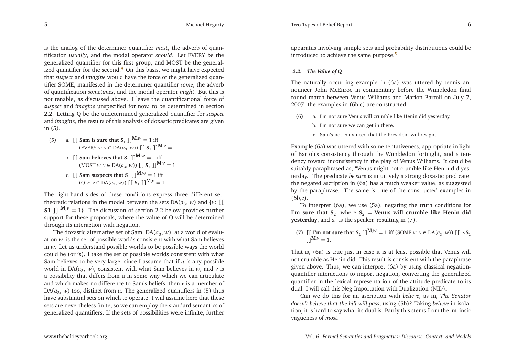is the analog of the determiner quantifier *most*, the adverb of quantification *usually*, and the modal operator *should*. Let EVERY be the generalized quantifier for this first group, and MOST be the general-ized quantifier for the second.<sup>[4](#page-14-3)</sup> On this basis, we might have expected that *suspec<sup>t</sup>* and *imagine* would have the force of the generalized quantifier SOME, manifested in the determiner quantifier *some*, the adverb of quantification *sometimes*, and the modal operator *might*. But this is not tenable, as discussed above. <sup>I</sup> leave the quantificational force of*suspect* and *imagine* unspecified for now, to be determined in section 2.2. Letting Q be the undetermined generalized quantifier for *suspec<sup>t</sup>* and *imagine*, the results of this analysis of doxastic predicates are <sup>g</sup>ivenin (5).

(5) a.  $[[\text{ Sam is sure that } S_1\]]^{M,w} = 1 \text{ iff }$  $(\text{EVERY } v: v \in DA(a_3, w))$   $[[S_1]]^{M, v} = 1$ b.  $\left[ \begin{bmatrix} \text{Sam believes that } S_1 \end{bmatrix} \right]^{M,w} = 1 \text{ iff } S_2 = 1 \text{ iff } S_3 = 1 \text{ and } S_4 = 0 \text{ and } S_5 = 0 \text{ and } S_6 = 0 \text{ and } S_7 = 0 \text{ and } S_7 = 0 \text{ and } S_8 = 0 \text{ and } S_9 = 0 \text{ and } S_9 = 0 \text{ and } S_9 = 0 \text{ and } S_9 = 0 \text{ and } S_9 = 0 \text{ and } S_9 = 0 \text{ and } S_9 = 0 \text{ and } S_9 = 0 \text{ and } S$  $(MOST \, v: \, v \in DA(a_3, w))$   $[[S_1]]^{M, v} = 1$ c. [[ Sam suspects that  $S_1$  ]] $^{M,w} = 1$  iff  $(Q \nu: \nu \in DA(a_3, w))$   $[[S_1]]^{M, \nu} = 1$ 

The right-hand sides of these conditions express three different settheoretic relations in the model between the sets  $DA(a_3, w)$  and  $\{v: \Pi\}$ **S1**  $\prod_{i=1}^{n} M_i v_i = 1$ . The discussion of section 2.2 below provides further suppor<sup>t</sup> for these proposals, where the value of Q will be determinedthrough its interaction with negation.

The doxastic alternative set of Sam,  $DA(a_3, w)$ , at a world of evalu- ation*<sup>w</sup>*, is the set of possible worlds consistent with what Sam believes in*<sup>w</sup>*. Let us understand possible worlds to be possible ways the world could be (or is). <sup>I</sup> take the set of possible worlds consistent with what Sam believes to be very large, since <sup>I</sup> assume that if*u* is any possible world in  $DA(a_3, w)$ , consistent with what Sam believes in *w*, and *v* is <sup>a</sup> possibility that differs from <sup>u</sup> in some way which we can articulate and which makes no difference to Sam's beliefs, then *<sup>v</sup>* is <sup>a</sup> member of DA(*<sup>a</sup>*3, *<sup>w</sup>*) too, distinct from*<sup>u</sup>*. The generalized quantifiers in (5) thus have substantial sets on which to operate. <sup>I</sup> will assume here that these sets are nevertheless finite, so we can employ the standard semantics ofgeneralized quantifiers. If the sets of possibilities were infinite, further

apparatus involving sample sets and probability distributions could beintroduced to achieve the same purpose.<sup>[5](#page-14-4)</sup>

#### *2.2. The Value of Q*

The naturally occurring example in (6a) was uttered by tennis announcer John McEnroe in commentary before the Wimbledon finalround match between Venus Williams and Marion Bartoli on July 7, 2007; the examples in (6b,c) are constructed.

- <span id="page-3-0"></span>(6) a. I'm not sure Venus will crumble like Henin did yesterday.
	- b. I'm not sure we can ge<sup>t</sup> in there.
	- c. Sam's not convinced that the President will resign.

<span id="page-3-1"></span>Example (6a) was uttered with some tentativeness, appropriate in light of Bartoli's consistency through the Wimbledon fortnight, and <sup>a</sup> tendency toward inconsistency in the <sup>p</sup>lay of Venus Williams. It could be suitably paraphrased as, "Venus might not crumble like Henin did yesterday." The predicate *be sure* is intuitively <sup>a</sup> strong doxastic predicate; the negated ascription in (6a) has <sup>a</sup> much weaker value, as suggested by the paraphrase. The same is true of the constructed examples in(6b,c).

To interpret (6a), we use (5a), negating the truth conditions for**I'm** sure that  $S_2$ , where  $S_2$  = Venus will crumble like Henin did **yesterday**, and  $a_1$  is the speaker, resulting in (7).

(7)  $[\![ \Gamma \mathbf{m} \text{ not sure that } \mathbf{S}_2 \]]^{\mathbf{M},w} = 1 \text{ iff } (\text{SOME } v: v \in \text{DA}(a_3, w)) \][\![ \sim \mathbf{S}_2 \!]$  $\mathbf{J} \mathbf{J}^{\mathbf{M}, \nu} = 1.$ 

That is, (6a) is true just in case it is at least possible that Venus will not crumble as Henin did. This result is consistent with the paraphrase <sup>g</sup>iven above. Thus, we can interpret (6a) by using classical negationquantifier interactions to import negation, converting the generalized quantifier in the lexical representation of the attitude predicate to itsdual. <sup>I</sup> will call this Neg-Importation with Dualization (NID).

Can we do this for an ascription with *believe*, as in, *The Senator doesn't believe that the bill will pass*, using (5b)? Taking *believe* in isolation, it is hard to say what its dual is. Partly this stems from the intrinsic vagueness of *most*.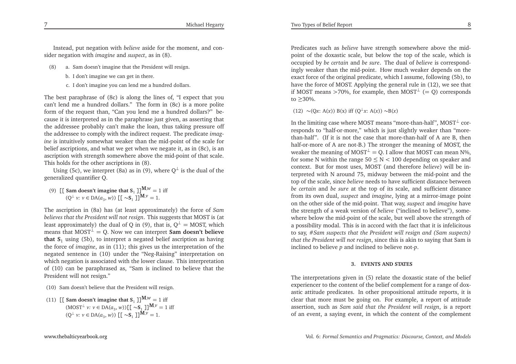Instead, pu<sup>t</sup> negation with *believe* aside for the moment, and consider negation with *imagine* and *suspect*, as in (8).

Michael Hegarty

- (8) a. Sam doesn't imagine that the President will resign.
	- b. <sup>I</sup> don't imagine we can ge<sup>t</sup> in there.
	- c. <sup>I</sup> don't imagine you can lend me <sup>a</sup> hundred dollars.

The best paraphrase of (8c) is along the lines of, "I expec<sup>t</sup> that you can't lend me <sup>a</sup> hundred dollars." The form in (8c) is <sup>a</sup> more polite form of the reques<sup>t</sup> than, "Can you lend me <sup>a</sup> hundred dollars?" because it is interpreted as in the paraphrase just <sup>g</sup>iven, as asserting that the addressee probably can't make the loan, thus taking pressure offthe addressee to comply with the indirect request. The predicate *imagine* is intuitively somewhat weaker than the mid-point of the scale for belief ascriptions, and what we ge<sup>t</sup> when we negate it, as in (8c), is an ascription with strength somewhere above the mid-point of that scale. This holds for the other ascriptions in (8).

Using (5c), we interpret (8a) as in (9), where  $\mathsf{Q}^{\perp}$  is the dual of the generalized quantifier Q.

(9)  $\left[\left[\right]$  **Sam doesn't imagine that S**<sub>1</sub>  $\left[\right]$ **M**, $w = 1$  iff  $(Q<sup>⊥</sup> v: v ∈ DA(a<sub>3</sub>, w))$  [[ ∼**S**<sub>1</sub> ]]<sup>**M**,*v*</sup> = 1.

The ascription in (8a) has (at least approximately) the force of *Sam believes that the President will not resign*. This suggests that MOST is (atleast approximately) the dual of Q in (9), that is,  $Q^{\perp} = MOST$ , which means that  $MOST^{\perp} = Q$ . Now we can interpret **Sam doesn't believe that <sup>S</sup>**<sup>1</sup> using (5b), to interpret <sup>a</sup> negated belief ascription as having the force of *imagine*, as in (11); this <sup>g</sup>ives us the interpretation of the negated sentence in (10) under the "Neg-Raising" interpretation on which negation is associated with the lower clause. This interpretation of (10) can be paraphrased as, "Sam is inclined to believe that thePresident will not resign."

- (10) Sam doesn't believe that the President will resign.
- (11)  $\left[\right[$  **Sam** doesn't imagine that  $S_1$   $\right]$  $\left[\frac{M,\nu}{\nu}\right] = 1$  iff  $(MOST^{\perp} v: v \in DA(a_3, w))$   $[(\sim S_1 \cdot \mathbf{I})^{\mathbf{M}, v} = 1 \text{ iff}$  $(Q<sup>⊥</sup> v: v ∈ DA(a<sub>3</sub>, w))$  [[ ∼**S**<sub>1</sub> ]]<sup>**M**,*v*</sup> = 1.

Predicates such as *believe* have strength somewhere above the midpoint of the doxastic scale, but below the top of the scale, which is occupied by *be certain* and *be sure*. The dual of *believe* is correspondingly weaker than the mid-point. How much weaker depends on the exact force of the original predicate, which <sup>I</sup> assume, following (5b), to have the force of MOST. Applying the general rule in (12), we see thatif MOST means >70%, for example, then MOST<sup>⊥</sup> (= Q) corresponds to≥30%.

(12)  $\sim$  (Q*x*: A(*x*)) B(*x*) iff (Q<sup>⊥</sup>*x*: A(*x*))  $\sim$  B(*x*)

In the limiting case where MOST means "more-than-half", MOST $^\perp$  cor- responds to "half-or-more," which is just slightly weaker than "morethan-half". (If it is not the case that more-than-half of <sup>A</sup> are B, then half-or-more of <sup>A</sup> are not-B.) The stronger the meaning of MOST, theweaker the meaning of MOST<sup>⊥</sup> = Q. I allow that MOST can mean N%, for some <sup>N</sup> within the range <sup>50</sup>≤N*<* <sup>100</sup> depending on speaker and context. But for most uses, MOST (and therefore *believe*) will be interpreted with <sup>N</sup> around 75, midway between the mid-point and the top of the scale, since *believe* needs to have sufficient distance between *be certain* and *be sure* at the top of its scale, and sufficient distance from its own dual, *suspec<sup>t</sup>* and *imagine*, lying at <sup>a</sup> mirror-image point on the other side of the mid-point. That way, *suspec<sup>t</sup>* and *imagine* have the strength of <sup>a</sup> weak version of *believe* ("inclined to believe"), somewhere below the mid-point of the scale, but well above the strength of <sup>a</sup> possibility modal. This is in accord with the fact that it is infelicitous to say, #*Sam suspects that the President will resign and (Sam suspects) that the President will not resign*, since this is akin to saying that Sam isinclined to believe*p* and inclined to believe not-*p*.

#### **3. EVENTS AND STATES**

The interpretations <sup>g</sup>iven in (5) relate the doxastic state of the belief experiencer to the content of the belief complement for <sup>a</sup> range of doxastic attitude predicates. In other propositional attitude reports, it is clear that more must be going on. For example, <sup>a</sup> repor<sup>t</sup> of attitude assertion, such as *Sam said that the President will resign*, is <sup>a</sup> repor<sup>t</sup> of an event, <sup>a</sup> saying event, in which the content of the complement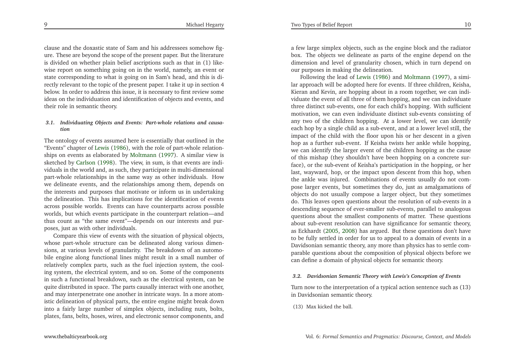clause and the doxastic state of Sam and his addressees somehow figure. These are beyond the scope of the presen<sup>t</sup> paper. But the literature is divided on whether <sup>p</sup>lain belief ascriptions such as that in (1) likewise repor<sup>t</sup> on something going on in the world, namely, an event or state corresponding to what is going on in Sam's head, and this is directly relevant to the topic of the presen<sup>t</sup> paper. <sup>I</sup> take it up in section <sup>4</sup> below. In order to address this issue, it is necessary to first review some ideas on the individuation and identification of objects and events, and their role in semantic theory.

#### *3.1. Individuating Objects and Events: Part-whole relations and causation*

The ontology of events assumed here is essentially that outlined in the "Events" chapter of [Lewis](#page-15-11) [\(1986](#page-15-11)), with the role of part-whole relationships on events as elaborated by [Moltmann](#page-15-12) [\(1997\)](#page-15-12). <sup>A</sup> similar view is sketched by [Carlson](#page-14-5) [\(1998](#page-14-5)). The view, in sum, is that events are individuals in the world and, as such, they participate in multi-dimensional part-whole relationships in the same way as other individuals. How we delineate events, and the relationships among them, depends on the interests and purposes that motivate or inform us in undertaking the delineation. This has implications for the identification of events across possible worlds. Events can have counterparts across possible worlds, but which events participate in the counterpart relation—and thus count as "the same event"—depends on our interests and purposes, just as with other individuals.

Compare this view of events with the situation of <sup>p</sup>hysical objects, whose part-whole structure can be delineated along various dimensions, at various levels of granularity. The breakdown of an automobile engine along functional lines might result in <sup>a</sup> small number of relatively complex parts, such as the fuel injection system, the cooling system, the electrical system, and so on. Some of the components in such <sup>a</sup> functional breakdown, such as the electrical system, can be quite distributed in space. The parts causally interact with one another, and may interpenetrate one another in intricate ways. In <sup>a</sup> more atomistic delineation of <sup>p</sup>hysical parts, the entire engine might break down into <sup>a</sup> fairly large number of simplex objects, including nuts, bolts, <sup>p</sup>lates, fans, belts, hoses, wires, and electronic sensor components, and

<sup>a</sup> few large simplex objects, such as the engine block and the radiator box. The objects we delineate as parts of the engine depend on the dimension and level of granularity chosen, which in turn depend onour purposes in making the delineation.

Following the lead of [Lewis](#page-15-11) [\(1986](#page-15-11)) and [Moltmann](#page-15-12) [\(1997](#page-15-12)), <sup>a</sup> similar approach will be adopted here for events. If three children, Keisha, Kieran and Kevin, are hopping about in <sup>a</sup> room together, we can individuate the event of all three of them hopping, and we can individuate three distinct sub-events, one for each child's hopping. With sufficient motivation, we can even individuate distinct sub-events consisting of any two of the children hopping. At <sup>a</sup> lower level, we can identify each hop by <sup>a</sup> single child as <sup>a</sup> sub-event, and at <sup>a</sup> lower level still, the impact of the child with the floor upon his or her descent in <sup>a</sup> <sup>g</sup>iven hop as <sup>a</sup> further sub-event. If Keisha twists her ankle while hopping, we can identify the larger event of the children hopping as the cause of this mishap (they shouldn't have been hopping on <sup>a</sup> concrete surface), or the sub-event of Keisha's participation in the hopping, or her last, wayward, hop, or the impact upon descent from this hop, when the ankle was injured. Combinations of events usually do not compose larger events, but sometimes they do, just as amalgamations of objects do not usually compose <sup>a</sup> larger object, but they sometimes do. This leaves open questions about the resolution of sub-events in <sup>a</sup> descending sequence of ever-smaller sub-events, parallel to analogous questions about the smallest components of matter. These questions about sub-event resolution can have significance for semantic theory, as Eckhardt [\(2005](#page-14-6), [2008](#page-14-7)) has argued. But these questions don't have to be fully settled in order for us to appeal to <sup>a</sup> domain of events in <sup>a</sup> Davidsonian semantic theory, any more than <sup>p</sup>hysics has to settle comparable questions about the composition of <sup>p</sup>hysical objects before wecan define <sup>a</sup> domain of <sup>p</sup>hysical objects for semantic theory.

#### *3.2. Davidsonian Semantic Theory with Lewis's Conception of Events*

Turn now to the interpretation of <sup>a</sup> typical action sentence such as (13)in Davidsonian semantic theory.

(13) Max kicked the ball.

9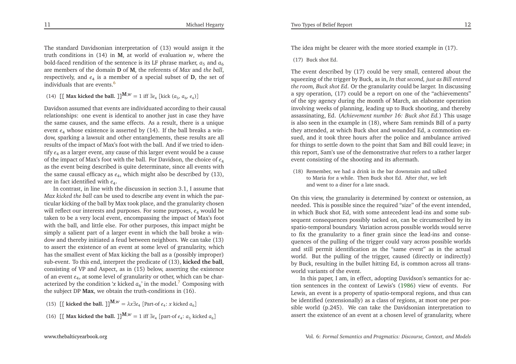The idea might be clearer with the more storied example in (17).

(17) Buck shot Ed.

<span id="page-6-0"></span>The event described by (17) could be very small, centered about the squeezing of the trigger by Buck, as in, *In that second, just as Bill entered the room, Buck shot Ed*. Or the granularity could be larger. In discussing <sup>a</sup> spy operation, (17) could be <sup>a</sup> repor<sup>t</sup> on one of the "achievements" of the spy agency during the month of March, an elaborate operation involving weeks of <sup>p</sup>lanning, leading up to Buck shooting, and thereby assassinating, Ed. (*Achievement number 16: Buck shot Ed.*) This usage is also seen in the example in (18), where Sam reminds Bill of <sup>a</sup> party they attended, at which Buck shot and wounded Ed, <sup>a</sup> commotion ensued, and it took three hours after the police and ambulance arrived for things to settle down to the point that Sam and Bill could leave; in this report, Sam's use of the demonstrative *that* refers to <sup>a</sup> rather larger event consisting of the shooting and its aftermath.

(18) Remember, we had <sup>a</sup> drink in the bar downstairs and talked to Maria for <sup>a</sup> while. Then Buck shot Ed. After *that*, we left and went to <sup>a</sup> diner for <sup>a</sup> late snack.

On this view, the granularity is determined by context or ostension, as needed. This is possible since the required "size" of the event intended, in which Buck shot Ed, with some antecedent lead-ins and some subsequen<sup>t</sup> consequences possibly tacked on, can be circumscribed by its spatio-temporal boundary. Variation across possible worlds would serve to fix the granularity to <sup>a</sup> finer grain since the lead-ins and consequences of the pulling of the trigger could vary across possible worlds and still permit identification as the "same event" as in the actual world. But the pulling of the trigger, caused (directly or indirectly) by Buck, resulting in the bullet hitting Ed, is common across all transworld variants of the event.

In this paper, <sup>I</sup> am, in effect, adopting Davidson's semantics for action sentences in the context of Lewis's [\(1986\)](#page-15-11) view of events. For Lewis, an event is <sup>a</sup> property of spatio-temporal regions, and thus can be identified (extensionally) as <sup>a</sup> class of regions, at most one per possible world (p.245). We can take the Davidsonian interpretation toassert the existence of an event at <sup>a</sup> chosen level of granularity, where

The standard Davidsonian interpretation of (13) would assign it the truth conditions in (14) in**<sup>M</sup>**, at world of evaluation*<sup>w</sup>*, where thebold-faced rendition of the sentence is its LF phrase marker,  $a_5$  and  $a_6$  are members of the domain**D** of **<sup>M</sup>**, the referents of *Max* and *the ball*, respectively, and  $e_4$  is a member of a special subset of **D**, the set of individuals that are events. [6](#page-14-8)

(14)  $\left[ \left[ \text{Max kicked the ball.} \right] \right]^{M,w} = 1 \text{ iff } \exists e_4 \left[ \text{kick } (a_5, a_6, e_4) \right]$ 

Davidson assumed that events are individuated according to their causal relationships: one event is identical to another just in case they have the same causes, and the same effects. As <sup>a</sup> result, there is <sup>a</sup> uniqueevent  $e_4$  whose existence is asserted by  $(14)$ . If the ball breaks a window, sparking <sup>a</sup> lawsuit and other entanglements, these results are all results of the impact of Max's foot with the ball. And if we tried to identify *<sup>e</sup>*<sup>4</sup> as <sup>a</sup> larger event, any cause of this larger event would be <sup>a</sup> cause of the impact of Max's foot with the ball. For Davidson, the choice of *<sup>e</sup>*<sup>4</sup> as the event being described is quite determinate, since all events withthe same causal efficacy as  $e_4$ , which might also be described by  $(13)$ , are in fact identified with *<sup>e</sup>*<sup>4</sup>.

<span id="page-6-1"></span> In contrast, in line with the discussion in section 3.1, <sup>I</sup> assume that *Max kicked the ball* can be used to describe any event in which the particular kicking of the ball by Max took <sup>p</sup>lace, and the granularity chosen will reflect our interests and purposes. For some purposes, *<sup>e</sup>*<sup>4</sup> would be taken to be <sup>a</sup> very local event, encompassing the impact of Max's foot with the ball, and little else. For other purposes, this impact might be simply <sup>a</sup> salient par<sup>t</sup> of <sup>a</sup> larger event in which the ball broke <sup>a</sup> window and thereby initiated <sup>a</sup> feud between neighbors. We can take (13) to assert the existence of an event at some level of granularity, which has the smallest event of Max kicking the ball as <sup>a</sup> (possibly improper) sub-event. To this end, interpret the predicate of (13), **kicked the ball**, consisting of VP and Aspect, as in (15) below, asserting the existence of an event *<sup>e</sup>*4, at some level of granularity or other, which can be characterized by the condition  $\alpha$  kicked  $a_6$ ' in the model.<sup>[7](#page-14-9)</sup> Composing with the subject DP **Max**, we obtain the truth-conditions in (16).

- (15)  $\left[ \left[ \text{ kicked the ball. } \right] \right]^{M,w} = \lambda x \exists e_4 \left[ \text{Part-of } e_4 \colon x \text{ kicked } a_6 \right]$
- (16)  $\left[ \left[ \text{ Max kicked the ball. } \right] \right]^{M,w} = 1 \text{ iff } \exists e_4 \left[ \text{part-of } e_4 : a_5 \text{ kicked } a_6 \right]$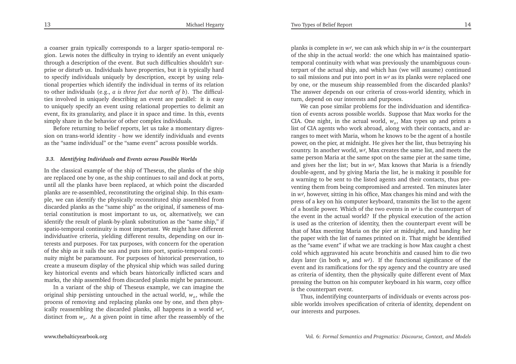13

<sup>a</sup> coarser grain typically corresponds to <sup>a</sup> larger spatio-temporal re<sup>g</sup>ion. Lewis notes the difficulty in trying to identify an event uniquely through <sup>a</sup> description of the event. But such difficulties shouldn't surprise or disturb us. Individuals have properties, but it is typically hard to specify individuals uniquely by description, excep<sup>t</sup> by using relational properties which identify the individual in terms of its relation to other individuals (e.g., *<sup>a</sup> is three feet due north of b*). The difficulties involved in uniquely describing an event are parallel: it is easy to uniquely specify an event using relational properties to delimit an event, fix its granularity, and <sup>p</sup>lace it in space and time. In this, eventssimply share in the behavior of other complex individuals.

Before returning to belief reports, let us take <sup>a</sup> momentary digression on trans-world identity - how we identify individuals and eventsas the "same individual" or the "same event" across possible worlds.

#### *3.3. Identifying Individuals and Events across Possible Worlds*

In the classical example of the ship of Theseus, the <sup>p</sup>lanks of the ship are replaced one by one, as the ship continues to sail and dock at ports, until all the <sup>p</sup>lanks have been replaced, at which point the discarded <sup>p</sup>lanks are re-assembled, reconstituting the original ship. In this exam<sup>p</sup>le, we can identify the <sup>p</sup>hysically reconstituted ship assembled from discarded <sup>p</sup>lanks as the "same ship" as the original, if sameness of material constitution is most important to us, or, alternatively, we can identify the result of <sup>p</sup>lank-by-plank substitution as the "same ship," if spatio-temporal continuity is most important. We might have different individuative criteria, <sup>y</sup>ielding different results, depending on our interests and purposes. For tax purposes, with concern for the operation of the ship as it sails the sea and puts into port, spatio-temporal continuity might be paramount. For purposes of historical preservation, to create <sup>a</sup> museum display of the <sup>p</sup>hysical ship which was sailed during key historical events and which bears historically inflicted scars andmarks, the ship assembled from discarded <sup>p</sup>lanks might be paramount.

In <sup>a</sup> variant of the ship of Theseus example, we can imagine the original ship persisting untouched in the actual world, *<sup>w</sup>o*, while the process of removing and replacing <sup>p</sup>lanks one by one, and then <sup>p</sup>hysically reassembling the discarded <sup>p</sup>lanks, all happens in <sup>a</sup> world*<sup>w</sup>*′,distinct from*<sup>w</sup>o*. At <sup>a</sup> <sup>g</sup>iven point in time after the reassembly of the

<sup>p</sup>lanks is complete in*<sup>w</sup>*′, we can ask which ship in*w*′ is the counterpart of the ship in the actual world: the one which has maintained spatiotemporal continuity with what was previously the unambiguous counterpart of the actual ship, and which has (we will assume) continued to sail missions and pu<sup>t</sup> into por<sup>t</sup> in*w*′ as its <sup>p</sup>lanks were replaced one by one, or the museum ship reassembled from the discarded <sup>p</sup>lanks? The answer depends on our criteria of cross-world identity, which inturn, depend on our interests and purposes.

We can pose similar problems for the individuation and identification of events across possible worlds. Suppose that Max works for the CIA. One night, in the actual world, *<sup>w</sup>o*, Max types up and prints <sup>a</sup> list of CIA agents who work abroad, along with their contacts, and arranges to meet with Maria, whom he knows to be the agen<sup>t</sup> of <sup>a</sup> hostile power, on the <sup>p</sup>ier, at midnight. He <sup>g</sup>ives her the list, thus betraying his country. In another world, *<sup>w</sup>*′, Max creates the same list, and meets the same person Maria at the same spo<sup>t</sup> on the same <sup>p</sup>ier at the same time, and <sup>g</sup>ives her the list; but in*<sup>w</sup>*′, Max knows that Maria is <sup>a</sup> friendly double-agent, and by <sup>g</sup>iving Maria the list, he is making it possible for <sup>a</sup> warning to be sent to the listed agents and their contacts, thus preventing them from being compromised and arrested. Ten minutes later in*<sup>w</sup>*′, however, sitting in his office, Max changes his mind and with the press of <sup>a</sup> key on his computer keyboard, transmits the list to the agen<sup>t</sup> of <sup>a</sup> hostile power. Which of the two events in*w*′ is the counterpart of the event in the actual world? If the <sup>p</sup>hysical execution of the action is used as the criterion of identity, then the counterpart event will be that of Max meeting Maria on the <sup>p</sup>ier at midnight, and handing her the paper with the list of names printed on it. That might be identified as the "same event" if what we are tracking is how Max caught <sup>a</sup> chest cold which aggravated his acute bronchitis and caused him to die two days later (in both*<sup>w</sup>o* and *<sup>w</sup>*′). If the functional significance of the event and its ramifications for the spy agency and the country are used as criteria of identity, then the <sup>p</sup>hysically quite different event of Max pressing the button on his computer keyboard in his warm, cozy officeis the counterpart event.

Thus, indentifying counterparts of individuals or events across possible worlds involves specification of criteria of identity, dependent onour interests and purposes.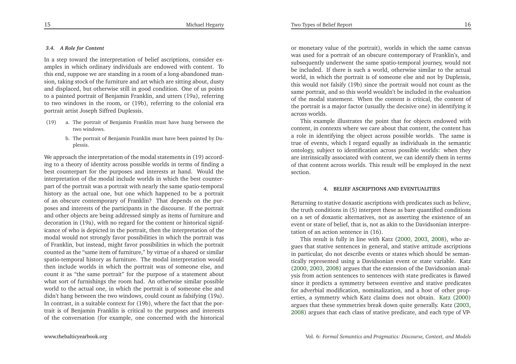#### *3.4. <sup>A</sup> Role for Content*

In <sup>a</sup> step toward the interpretation of belief ascriptions, consider examples in which ordinary individuals are endowed with content. To this end, suppose we are standing in <sup>a</sup> room of <sup>a</sup> long-abandoned mansion, taking stock of the furniture and art which are sitting about, dusty and displaced, but otherwise still in good condition. One of us points to <sup>a</sup> painted portrait of Benjamin Franklin, and utters (19a), referring to two windows in the room, or (19b), referring to the colonial eraportrait artist Joseph Siffred Duplessis.

- (19) a. The portrait of Benjamin Franklin must have hung between thetwo windows.
	- b. The portrait of Benjamin Franklin must have been painted by Duplessis.

We approach the interpretation of the modal statements in (19) according to <sup>a</sup> theory of identity across possible worlds in terms of finding <sup>a</sup> best counterpart for the purposes and interests at hand. Would the interpretation of the modal include worlds in which the best counterpar<sup>t</sup> of the portrait was <sup>a</sup> portrait with nearly the same spatio-temporal history as the actual one, but one which happened to be <sup>a</sup> portrait of an obscure contemporary of Franklin? That depends on the purposes and interests of the participants in the discourse. If the portrait and other objects are being addressed simply as items of furniture and decoration in (19a), with no regard for the content or historical significance of who is depicted in the portrait, then the interpretation of the modal would not strongly favor possibilities in which the portrait was of Franklin, but instead, might favor possibilities in which the portrait counted as the "same item of furniture," by virtue of <sup>a</sup> shared or similar spatio-temporal history as furniture. The modal interpretation would then include worlds in which the portrait was of someone else, and count it as "the same portrait" for the purpose of <sup>a</sup> statement about what sort of furnishings the room had. An otherwise similar possible world to the actual one, in which the portrait is of someone else and didn't hang between the two windows, could count as falsifying (19a). In contrast, in <sup>a</sup> suitable context for (19b), where the fact that the portrait is of Benjamin Franklin is critical to the purposes and interests of the conversation (for example, one concerned with the historical

or monetary value of the portrait), worlds in which the same canvas was used for <sup>a</sup> portrait of an obscure contemporary of Franklin's, and subsequently underwent the same spatio-temporal journey, would not be included. If there is such <sup>a</sup> world, otherwise similar to the actual world, in which the portrait is of someone else and not by Duplessis, this would not falsify (19b) since the portrait would not count as the same portrait, and so this world wouldn't be included in the evaluation of the modal statement. When the content is critical, the content of the portrait is <sup>a</sup> major factor (usually the decisive one) in identifying itacross worlds.

This example illustrates the point that for objects endowed with content, in contexts where we care about that content, the content has <sup>a</sup> role in identifying the object across possible worlds. The same is true of events, which <sup>I</sup> regard equally as individuals in the semantic ontology, subject to identification across possible worlds: when they are intrinsically associated with content, we can identify them in terms of that content across worlds. This result will be employed in the nextsection.

#### **4. BELIEF ASCRIPTIONS AND EVENTUALITIES**

Returning to stative doxastic ascriptions with predicates such as *believe*, the truth conditions in (5) interpret these as bare quantified conditions on <sup>a</sup> set of doxastic alternatives, not as asserting the existence of an event or state of belief, that is, not as akin to the Davidsonian interpretation of an action sentence in (16).

This result is fully in line with Katz [\(2000](#page-15-1), [2003](#page-15-2), [2008](#page-15-3)), who argues that stative sentences in general, and stative attitude ascriptions in particular, do not describe events or states which should be semantically represented using <sup>a</sup> Davidsonian event or state variable. Katz [\(2000](#page-15-1), [2003,](#page-15-2) [2008](#page-15-3)) argues that the extension of the Davidsonian analysis from action sentences to sentences with state predicates is flawed since it predicts <sup>a</sup> symmetry between eventive and stative predicates for adverbial modification, nominalization, and <sup>a</sup> host of other properties, <sup>a</sup> symmetry which Katz claims does not obtain. [Katz](#page-15-1) [\(2000](#page-15-1)) argues that these symmetries break down quite generally. Katz [\(2003,](#page-15-2) [2008](#page-15-3)) argues that each class of stative predicate, and each type of VP-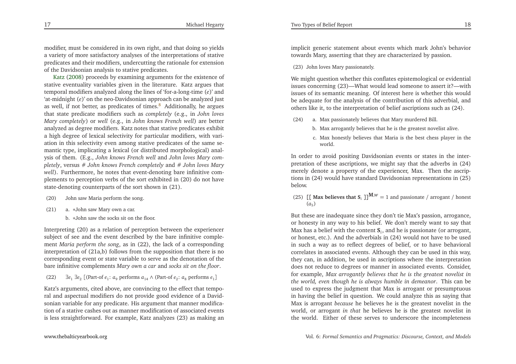modifier, must be considered in its own right, and that doing so <sup>y</sup>ields <sup>a</sup> variety of more satisfactory analyses of the interpretations of stative predicates and their modifiers, undercutting the rationale for extensionofthe Davidsonian analysis to stative predicates.

Katz [\(2008](#page-15-3)) proceeds by examining arguments for the existence of stative eventuality variables <sup>g</sup>iven in the literature. Katz argues that temporal modifiers analyzed along the lines of 'for-a-long-time (*e*)' and 'at-midnight (*e*)' on the neo-Davidsonian approach can be analyzed justas well, if not better, as predicates of times.<sup>[8](#page-14-10)</sup> Additionally, he argues that state predicate modifiers such as *completely* (e.g., in *John loves Mary completely*) or *well* (e.g., in *John knows French well*) are better analyzed as degree modifiers. Katz notes that stative predicates exhibit <sup>a</sup> high degree of lexical selectivity for particular modifiers, with variation in this selectivity even among stative predicates of the same semantic type, implicating <sup>a</sup> lexical (or distributed morphological) analysis of them. (E.g., *John knows French well* and *John loves Mary completely*, versus # *John knows French completely* and # *John loves Mary well*). Furthermore, he notes that event-denoting bare infinitive com<sup>p</sup>lements to perception verbs of the sort exhibited in (20) do not have state-denoting counterparts of the sort shown in (21).

- (20) John saw Maria perform the song.
- (21) a. <sup>∗</sup>John saw Mary own <sup>a</sup> car.
	- b. <sup>∗</sup>John saw the socks sit on the floor.

Interpreting (20) as <sup>a</sup> relation of perception between the experiencer subject of see and the event described by the bare infinitive complement *Maria perform the song*, as in (22), the lack of <sup>a</sup> corresponding interpretation of (21a,b) follows from the supposition that there is no corresponding event or state variable to serve as the denotation of thebare infinitive complements *Mary own <sup>a</sup> car* and *socks sit on the floor*.

(22)<sup>∃</sup>*<sup>e</sup>*<sup>1</sup> <sup>∃</sup>*<sup>e</sup>*<sup>2</sup> [(Part-of *<sup>e</sup>*1: *<sup>a</sup>*<sup>9</sup> performs *<sup>a</sup>*<sup>14</sup> <sup>∧</sup> (Part-of *<sup>e</sup>*2: *<sup>a</sup>*<sup>8</sup> performs *<sup>e</sup>*1]

Katz's arguments, cited above, are convincing to the effect that temporal and aspectual modifiers do not provide good evidence of <sup>a</sup> Davidsonian variable for any predicate. His argumen<sup>t</sup> that manner modification of <sup>a</sup> stative cashes out as manner modification of associated eventsis less straightforward. For example, Katz analyzes (23) as making an

implicit generic statement about events which mark John's behaviortowards Mary, asserting that they are characterized by passion.

(23) John loves Mary passionately.

We might question whether this conflates epistemological or evidential issues concerning (23)—What would lead someone to assert it?—with issues of its semantic meaning. Of interest here is whether this would be adequate for the analysis of the contribution of this adverbial, andothers like it, to the interpretation of belief ascriptions such as (24).

- (24) a. Max passionately believes that Mary murdered Bill.
	- b. Max arrogantly believes that he is the greatest novelist alive.
	- c. Max honestly believes that Maria is the best chess <sup>p</sup>layer in theworld.

<span id="page-9-0"></span>In order to avoid positing Davidsonian events or states in the interpretation of these ascriptions, we might say that the adverbs in (24) merely denote <sup>a</sup> property of the experiencer, Max. Then the ascriptions in (24) would have standard Davidsonian representations in (25)below.

(25)  $\left[\left[\right]$  **Max believes that S**<sup>*i*</sup>  $\right]$ ]<sup>M,*w*</sup> = 1 and passionate / arrogant / honest  $(a_5)$ 

But these are inadequate since they don't tie Max's passion, arrogance, or honesty in any way to his belief. We don't merely want to say that Max has <sup>a</sup> belief with the content **<sup>S</sup>***i*, and he is passionate (or arrogant, or honest, etc.). And the adverbials in (24) would not have to be used in such <sup>a</sup> way as to reflect degrees of belief, or to have behavioral correlates in associated events. Although they can be used in this way, they can, in addition, be used in ascriptions where the interpretation does not reduce to degrees or manner in associated events. Consider, for example, *Max arrogantly believes that he is the greatest novelist in the world, even though he is always humble in demeanor*. This can be used to express the judgment that Max is arrogan<sup>t</sup> or presumptuous in having the belief in question. We could analyze this as saying that Max is arrogan<sup>t</sup> *because* he believes he is the greatest novelist in the world, or arrogan<sup>t</sup> *in that* he believes he is the greatest novelist inthe world. Either of these serves to underscore the incompleteness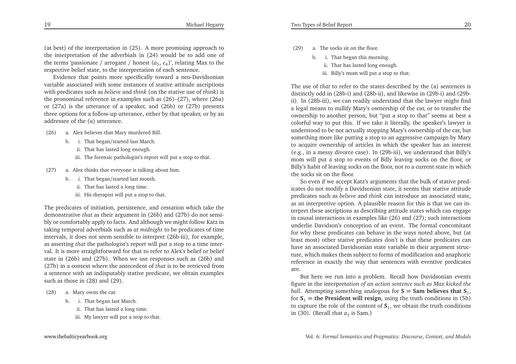(at best) of the interpretation in (25). <sup>A</sup> more promising approach to the interpretation of the adverbials in (24) would be to add one ofthe terms 'passionate / arrogant / honest  $(a_5, e_4)$ ', relating Max to the respective belief state, to the interpretation of each sentence.

Evidence that points more specifically toward <sup>a</sup> neo-Davidsonian variable associated with some instances of stative attitude ascriptions with predicates such as *believe* and *think* (on the stative use of *think*) is the pronominal reference in examples such as (26)–(27), where (26a) or (27a) is the utterance of <sup>a</sup> speaker, and (26b) or (27b) presents three options for <sup>a</sup> follow-up utterance, either by that speaker, or by anaddressee of the (a) utterance.

(26) a. Alex believes that Mary murdered Bill.

- b. i. That began/started last March.
	- ii. That has lasted long enough.
	- iii. The forensic pathologist's repor<sup>t</sup> will pu<sup>t</sup> <sup>a</sup> stop to that.
- (27) a. Alex thinks that everyone is talking about him.
	- b. i. That began/started last month.
		- ii. That has lasted <sup>a</sup> long time.
		- iii. His therapist will pu<sup>t</sup> <sup>a</sup> stop to that.

The predicates of initiation, persistence, and cessation which take the demonstrative *that* as their argumen<sup>t</sup> in (26b) and (27b) do not sensibly or comfortably apply to facts. And although we might follow Katz in taking temporal adverbials such as *at midnight* to be predicates of time intervals, it does not seem sensible to interpret (26b-iii), for example, as asserting *that* the pathologist's repor<sup>t</sup> will pu<sup>t</sup> <sup>a</sup> stop to <sup>a</sup> time interval. It is more straightforward for that to refer to Alex's belief or belief state in (26b) and (27b). When we use responses such as (26b) and (27b) in <sup>a</sup> context where the antecedent of *that* is to be retrieved from <sup>a</sup> sentence with an indisputably stative predicate, we obtain examplessuch as those in (28) and (29).

- (28) a. Mary owns the car.
	- b. i. That began last March.
		- ii. That has lasted <sup>a</sup> long time.
		- iii. My lawyer will pu<sup>t</sup> <sup>a</sup> stop to that.
- (29) a. The socks sit on the floor.
	- b. i. That began this morning.
		- ii. That has lasted long enough.
		- iii. Billy's mom will pu<sup>t</sup> <sup>a</sup> stop to that.

The use of *that* to refer to the states described by the (a) sentences is distinctly odd in (28b-i) and (28b-ii), and likewise in (29b-i) and (29bii). In (28b-iii), we can readily understand that the lawyer might find <sup>a</sup> legal means to nullify Mary's ownership of the car, or to transfer the ownership to another person, but "put <sup>a</sup> stop to that" seems at best <sup>a</sup> colorful way to pu<sup>t</sup> this. If we take it literally, the speaker's lawyer is understood to be not actually stopping Mary's ownership of the car, but something more like putting <sup>a</sup> stop to an aggressive campaign by Mary to acquire ownership of articles in which the speaker has an interest (e.g., in <sup>a</sup> messy divorce case). In (29b-iii), we understand that Billy's mom will pu<sup>t</sup> <sup>a</sup> stop to events of Billy leaving socks on the floor, or Billy's habit of leaving socks on the floor, not to <sup>a</sup> current state in whichthe socks sit on the floor.

So even if we accep<sup>t</sup> Katz's arguments that the bulk of stative predicates do not modify <sup>a</sup> Davidsonian state, it seems that stative attitude predicates such as *believe* and *think* can introduce an associated state, as an interpretive option. <sup>A</sup> <sup>p</sup>lausible reason for this is that we can interpret these ascriptions as describing attitude states which can engage in causal interactions in examples like (26) and (27); such interactions underlie Davidson's conception of an event. The formal concomitant for why these predicates can behave in the ways noted above, but (at least most) other stative predicates don't is that these predicates can have an associated Davidsonian state variable in their argumen<sup>t</sup> structure, which makes them subject to forms of modification and anaphoric reference in exactly the way that sentences with eventive predicatesare.

But here we run into <sup>a</sup> problem. Recall how Davidsonian events figure in the interpret*ation of an action sentence such as Max kicked theball*. Attempting something analogous for  $S =$  **Sam believes that**  $S_1$ ,  $S_2 = S_1$ for  $S_1$  = **the President will resign**, using the truth conditions in (5b) to capture the role of the content of **<sup>S</sup>**<sup>1</sup>, we obtain the truth conditionsin (30). (Recall that  $a_3$  is Sam.)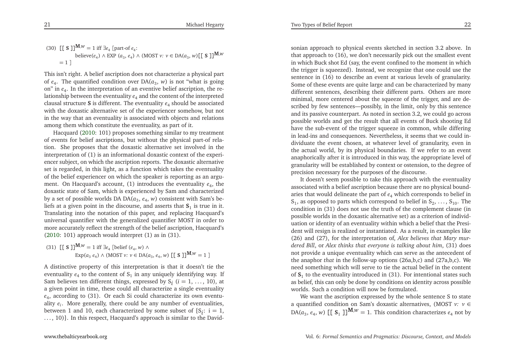This isn't right. <sup>A</sup> belief ascription does not characterize <sup>a</sup> <sup>p</sup>hysical par<sup>t</sup> of *<sup>e</sup>*4. The quantified condition over DA(*<sup>a</sup>*3, *<sup>w</sup>*) is not "what is going on" in *<sup>e</sup>*4. In the interpretation of an eventive belief ascription, the relationship between the eventuality *<sup>e</sup>*<sup>4</sup> and the content of the interpreted clausal structure **<sup>S</sup>** is different. The eventuality *<sup>e</sup>*<sup>4</sup> should be associated with the doxastic alternative set of the experiencer somehow, but not in the way that an eventuality is associated with objects and relations among them which constitute the eventuality, as par<sup>t</sup> of it.

Hacquard [\(2010](#page-15-4): 101) proposes something similar to my treatment of events for belief ascriptions, but without the <sup>p</sup>hysical part-of relation. She proposes that the doxastic alternative set involved in the interpretation of (1) is an informational doxastic context of the experiencer subject, on which the ascription reports. The doxastic alternative set is regarded, in this light, as <sup>a</sup> function which takes the eventuality of the belief experiencer on which the speaker is reporting as an argument. On Hacquard's account, (1) introduces the eventuality  $e_4$ , the doxastic state of Sam, which is experienced by Sam and characterizedby a set of possible worlds DA DA( $a_3, e_4$ ,  $w$ ) consistent with Sam's beliefs at a given point in the discourse, and asserts that  $S_1$  is true in it. Translating into the notation of this paper, and replacing Hacquard's universal quantifier with the generalized quantifier MOST in order to more accurately reflect the strength of the belief ascription, Hacquard's[\(2010](#page-15-4): 101) approach would interpret (1) as in (31).

(31)  $[$  **[ S ]**] $^{\mathbf{M},w} = 1$  iff  $\exists e_4$  [belief (*e*<sub>4</sub>, *w*)  $\wedge$  $\text{Exp}(a_3 \ e_4) \wedge (\text{MOST } v: v \in \text{DA}(a_3, e_4, w) \ [ \ [ \ S \ ] ]^{\text{M},w} = 1 ]$ 

<sup>A</sup> distinctive property of this interpretation is that it doesn't tie theeventuality  $e_4$  to the content of  $S_1$  in any uniquely identifying way. If Sam believes ten different things, expressed by <sup>S</sup>*<sup>i</sup>*(*i* <sup>=</sup> 1, . . . , 10), at <sup>a</sup> <sup>g</sup>iven point in time, these could all characterize <sup>a</sup> single eventuality *<sup>e</sup>*4, according to (31). Or each Si could characterize its own eventuality *<sup>e</sup>i*. More generally, there could be any number of eventualities, between 1 and 10, each characterized by some subset of  $\{S_i: i = 1, \ldots, 10\}$ . In this property Herman is connected in the line of the David ..., 10)}. In this respect, Hacquard's approach is similar to the David-

sonian approach to <sup>p</sup>hysical events sketched in section 3.2 above. In that approach to (16), we don't necessarily <sup>p</sup>ick out the smallest event in which Buck shot Ed (say, the event confined to the moment in which the trigger is squeezed). Instead, we recognize that one could use the sentence in (16) to describe an event at various levels of granularity. Some of these events are quite large and can be characterized by many different sentences, describing their different parts. Others are more minimal, more centered about the squeeze of the trigger, and are described by few sentences—possibly, in the limit, only by this sentence and its passive counterpart. As noted in section 3.2, we could go across possible worlds and ge<sup>t</sup> the result that all events of Buck shooting Ed have the sub-event of the trigger squeeze in common, while differing in lead-ins and consequences. Nevertheless, it seems that we could individuate the event chosen, at whatever level of granularity, even in the actual world, by its <sup>p</sup>hysical boundaries. If we refer to an event anaphorically after it is introduced in this way, the appropriate level of granularity will be established by context or ostension, to the degree of precision necessary for the purposes of the discourse.

It doesn't seem possible to take this approach with the eventuality associated with <sup>a</sup> belief ascription because there are no <sup>p</sup>hysical boundaries that would delineate the par<sup>t</sup> of *<sup>e</sup>*<sup>4</sup> which corresponds to belief in  $S_1$ , as opposed to parts which correspond to belief in  $S_2, \ldots, S_{10}$ . The condition in (31) does not use the truth of the complement clause (in possible worlds in the doxastic alternative set) as <sup>a</sup> criterion of individuation or identity of an eventuality within which <sup>a</sup> belief that the President will resign is realized or instantiated. As <sup>a</sup> result, in examples like (26) and (27), for the interpretation of, *Alex believes that Mary murdered Bill*, or *Alex thinks that everyone is talking about him*, (31) does not provide <sup>a</sup> unique eventuality which can serve as the antecedent of the anaphor *that* in the follow-up options (26a,b,c) and (27a,b,c). We need something which will serve to tie the actual belief in the contentof  $S_1$  to the eventuality introduced in (31). For intentional states such as belief, this can only be done by conditions on identity across possibleworlds. Such <sup>a</sup> condition will now be formulated.

We want the ascription expressed by the whole sentence <sup>S</sup> to state <sup>a</sup> quantified condition on Sam's doxastic alternatives, (MOST *v: <sup>v</sup>* ∈DA( $a_3$ ,  $e_4$ ,  $w$ ) [[ **S**<sub>1</sub> ]]<sup>**M**, $w$ </sup> = 1. This condition characterizes  $e_4$  not by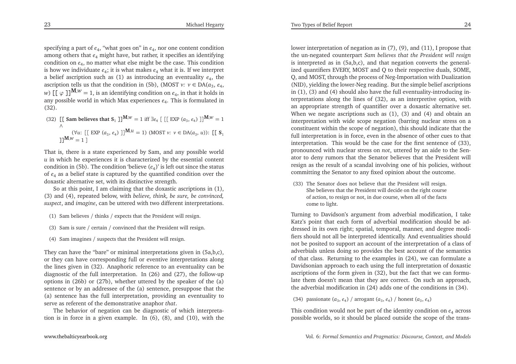specifying <sup>a</sup> par<sup>t</sup> of *<sup>e</sup>*4, "what goes on" in *<sup>e</sup>*4, nor one content condition among others that *<sup>e</sup>*<sup>4</sup> might have, but rather, it specifies an identifying condition on *<sup>e</sup>*4, no matter what else might be the case. This condition is how we individuate *<sup>e</sup>*4; it is what makes *<sup>e</sup>*<sup>4</sup> what it is. If we interpret <sup>a</sup> belief ascription such as (1) as introducing an eventuality *<sup>e</sup>*4, the ascription tells us that the condition in (5b), (MOST *v*:  $v \in DA(a_3, e_4,$ *w*)  $[(\varphi)]^{\mathbf{M},w} = 1$ , is an identifying condition on  $e_4$ , in that it holds in any possible world in which Max experiences *<sup>e</sup>*4. This is formulated in(32).

(32)  $\left[ \left[ \text{ Sam believes that } S_1 \text{]} \right] \right]^{M,w} = 1 \text{ iff } \exists e_4 \left[ \left[ \left[ \text{ EXP } (a_3, e_4) \right] \right] \right]^{M,w} = 1$ ∧ $(\forall u: [[\text{EXP } (a_3, e_4)]]^{M,u} = 1) (\text{MOST } v: v \in DA(a_3, u))$ :  $[[S_1, S_2, \dots, S_n, v]]^{M,u} = 1$  $\mathbf{J}$ **M**, $W = 1$  ]

That is, there is <sup>a</sup> state experienced by Sam, and any possible world *u* in which he experiences it is characterized by the essential content condition in (5b). The condition 'believe  $(e_4)$ ' is left out since the status of *<sup>e</sup>*<sup>4</sup> as <sup>a</sup> belief state is captured by the quantified condition over the doxastic alternative set, with its distinctive strength.

So at this point, <sup>I</sup> am claiming that the doxastic ascriptions in (1), (3) and (4), repeated below, with *believe, think, be sure, be convinced, suspect*, and *imagine*, can be uttered with two different interpretations.

- (1) Sam believes / thinks / expects that the President will resign.
- (3) Sam is sure / certain / convinced that the President will resign.
- (4) Sam imagines / suspects that the President will resign.

They can have the "bare" or minimal interpretations <sup>g</sup>iven in (5a,b,c), or they can have corresponding full or eventive interpretations along the lines <sup>g</sup>iven in (32). Anaphoric reference to an eventuality can be diagnostic of the full interpretation. In (26) and (27), the follow-up options in (26b) or (27b), whether uttered by the speaker of the (a) sentence or by an addressee of the (a) sentence, presuppose that the (a) sentence has the full interpretation, providing an eventuality toserve as referent of the demonstrative anaphor *that*.

The behavior of negation can be diagnostic of which interpretation is in force in <sup>a</sup> <sup>g</sup>iven example. In (6), (8), and (10), with the

lower interpretation of negation as in (7), (9), and (11), <sup>I</sup> propose that the un-negated counterpart *Sam believes that the President will resign* is interpreted as in (5a,b,c), and that negation converts the generalized quantifiers EVERY, MOST and Q to their respective duals, SOME, Q, and MOST, through the process of Neg-Importation with Dualization (NID), <sup>y</sup>ielding the lower-Neg reading. But the simple belief ascriptions in (1), (3) and (4) should also have the full eventuality-introducing interpretations along the lines of (32), as an interpretive option, with an appropriate strength of quantifier over <sup>a</sup> doxastic alternative set. When we negate ascriptions such as (1), (3) and (4) and obtain an interpretation with wide scope negation (barring nuclear stress on <sup>a</sup> constituent within the scope of negation), this should indicate that the full interpretation is in force, even in the absence of other cues to that interpretation. This would be the case for the first sentence of (33), pronounced with nuclear stress on *not*, uttered by an aide to the Senator to deny rumors that the Senator believes that the President will resign as the result of <sup>a</sup> scandal involving one of his policies, withoutcommitting the Senator to any fixed opinion about the outcome.

Two Types of Belief Report

(33) The Senator does not believe that the President will resign. She believes that the President will decide on the right course of action, to resign or not, in due course, when all of the factscome to light.

Turning to Davidson's argumen<sup>t</sup> from adverbial modification, <sup>I</sup> take Katz's point that each form of adverbial modification should be addressed in its own right; spatial, temporal, manner, and degree modifiers should not all be interpreted identically. And eventualities should not be posited to suppor<sup>t</sup> an account of the interpretation of <sup>a</sup> class of adverbials unless doing so provides the best account of the semantics of that class. Returning to the examples in (24), we can formulate <sup>a</sup> Davidsonian approach to each using the full interpretation of doxastic ascriptions of the form <sup>g</sup>iven in (32), but the fact that we can formulate them doesn't mean that they are correct. On such an approach, the adverbial modification in (24) adds one of the conditions in (34).

(34) passionate  $(a_3, e_4)$  / arrogant  $(a_3, e_4)$  / honest  $(a_3, e_4)$ 

This condition would not be par<sup>t</sup> of the identity condition on *<sup>e</sup>*<sup>4</sup> across possible worlds, so it should be <sup>p</sup>laced outside the scope of the trans-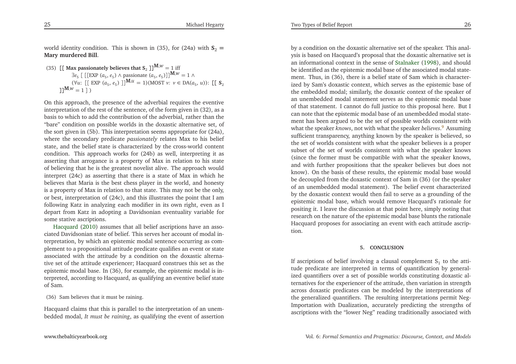world identity condition. This is shown in (35), for (24a) with  $S_2 =$ **Mary murdered Bill**.

(35) 
$$
[[\text{ Max passionately believes that } S_2]]^{M,w} = 1 \text{ iff } \exists e_5 \left[ \left[ \text{EXP } (a_5, e_5) \land \text{ passionate } (a_5, e_5) \right] \right]^{M,w} = 1 \land \text{(Vu: } [[\text{ EXP } (a_5, e_5)]]^{M,u} = 1)(\text{MOST } v: v \in DA(a_5, u)) : [[S_2]]^{M,w} = 1])
$$

On this approach, the presence of the adverbial requires the eventive interpretation of the rest of the sentence, of the form <sup>g</sup>iven in (32), as <sup>a</sup> basis to which to add the contribution of the adverbial, rather than the "bare" condition on possible worlds in the doxastic alternative set, of the sort <sup>g</sup>iven in (5b). This interpretation seems appropriate for (24a), where the secondary predicate *passionately* relates Max to his belief state, and the belief state is characterized by the cross-world content condition. This approach works for (24b) as well, interpreting it as asserting that arrogance is <sup>a</sup> property of Max in relation to his state of believing that he is the greatest novelist alive. The approach would interpret (24c) as asserting that there is <sup>a</sup> state of Max in which he believes that Maria is the best chess <sup>p</sup>layer in the world, and honesty is <sup>a</sup> property of Max in relation to that state. This may not be the only, or best, interpretation of (24c), and this illustrates the point that <sup>I</sup> am following Katz in analyzing each modifier in its own right, even as <sup>I</sup> depart from Katz in adopting <sup>a</sup> Davidsonian eventuality variable forsomestative ascriptions.

Hacquard [\(2010](#page-15-4)) assumes that all belief ascriptions have an associated Davidsonian state of belief. This serves her account of modal interpretation, by which an epistemic modal sentence occurring as com<sup>p</sup>lement to <sup>a</sup> propositional attitude predicate qualifies an event or state associated with the attitude by <sup>a</sup> condition on the doxastic alternative set of the attitude experiencer; Hacquard construes this set as the epistemic modal base. In (36), for example, the epistemic modal is interpreted, according to Hacquard, as qualifying an eventive belief stateof Sam.

(36) Sam believes that it must be raining.

Hacquard claims that this is parallel to the interpretation of an unembedded modal, *It must be raining*, as qualifying the event of assertion

by <sup>a</sup> condition on the doxastic alternative set of the speaker. This analysis is based on Hacquard's proposal that the doxastic alternative set is an informational context in the sense of [Stalnaker](#page-15-13) [\(1998](#page-15-13)), and should be identified as the epistemic modal base of the associated modal statement. Thus, in (36), there is <sup>a</sup> belief state of Sam which is characterized by Sam's doxastic context, which serves as the epistemic base of the embedded modal; similarly, the doxastic context of the speaker of an unembedded modal statement serves as the epistemic modal base of that statement. <sup>I</sup> cannot do full justice to this proposal here. But <sup>I</sup> can note that the epistemic modal base of an unembedded modal statement has been argued to be the set of possible worlds consistent with what the speaker *knows*, not with what the speaker *believes*. [9](#page-14-11) Assuming sufficient transparency, anything known by the speaker is believed, so the set of worlds consistent with what the speaker believes is <sup>a</sup> proper subset of the set of worlds consistent with what the speaker knows (since the former must be compatible with what the speaker knows, and with further propositions that the speaker believes but does not know). On the basis of these results, the epistemic modal base would be decoupled from the doxastic context of Sam in (36) (or the speaker of an unembedded modal statement). The belief event characterized by the doxastic context would then fail to serve as <sup>a</sup> grounding of the epistemic modal base, which would remove Hacquard's rationale for positing it. <sup>I</sup> leave the discussion at that point here, simply noting that research on the nature of the epistemic modal base blunts the rationale Hacquard proposes for associating an event with each attitude ascription.

#### **5. CONCLUSION**

<span id="page-13-0"></span>If ascriptions of belief involving a clausal complement  $S_1$  to the attitude predicate are interpreted in terms of quantification by generalized quantifiers over <sup>a</sup> set of possible worlds constituting doxastic alternatives for the experiencer of the attitude, then variation in strength across doxastic predicates can be modeled by the interpretations of the generalized quantifiers. The resulting interpretations permit Neg-Importation with Dualization, accurately predicting the strengths ofascriptions with the "lower Neg" reading traditionally associated with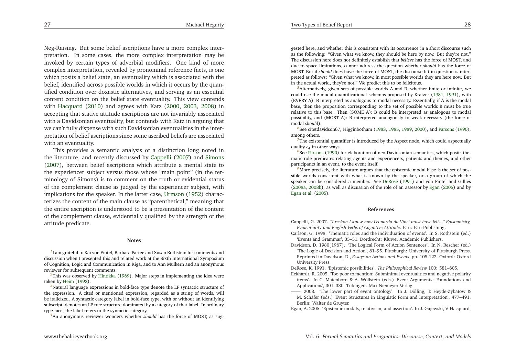<span id="page-14-14"></span><span id="page-14-13"></span><span id="page-14-12"></span><span id="page-14-7"></span><span id="page-14-6"></span><span id="page-14-5"></span><span id="page-14-2"></span><span id="page-14-1"></span><span id="page-14-0"></span>Neg-Raising. But some belief ascriptions have <sup>a</sup> more complex interpretation. In some cases, the more complex interpretation may be invoked by certain types of adverbial modifiers. One kind of more complex interpretation, revealed by pronominal reference facts, is one which posits <sup>a</sup> belief state, an eventuality which is associated with the belief, identified across possible worlds in which it occurs by the quantified condition over doxastic alternatives, and serving as an essential content condition on the belief state eventuality. This view contends with [Hacquard](#page-15-4) [\(2010](#page-15-4)) and agrees with Katz [\(2000](#page-15-1), [2003](#page-15-2), [2008](#page-15-3)) in accepting that stative attitude ascriptions are not invariably associated with <sup>a</sup> Davidsonian eventuality, but contends with Katz in arguing that we can't fully dispense with such Davidsonian eventualities in the interpretation of belief ascriptions since some ascribed beliefs are associatedwith an eventuality.

This provides <sup>a</sup> semantic analysis of <sup>a</sup> distinction long noted in the literature, and recently discussed by [Cappelli](#page-14-12) [\(2007](#page-14-12)) and [Simons](#page-15-14) [\(2007](#page-15-14)), between belief ascriptions which attribute <sup>a</sup> mental state to the experiencer subject versus those whose "main point" (in the terminology of Simons) is to comment on the truth or evidential status of the complement clause as judged by the experiencer subject, with implications for the speaker. In the latter case, [Urmson](#page-15-15) [\(1952](#page-15-15)) characterizes the content of the main clause as "parenthetical," meaning that the entire ascription is understood to be <sup>a</sup> presentation of the content of the complement clause, evidentially qualified by the strength of theattitude predicate.

#### **Notes**

<sup>[1](#page-1-0)</sup>I am grateful to Kai von Fintel, Barbara Partee and Susan Rothstein for comments and discussion when <sup>I</sup> presented this and related work at the Sixth International Symposium of Cognition, Logic and Communication in Riga, and to Ann Mulkern and an anonymousreviewer for subsequent comments.

*[2](#page-1-1)*This was observed by [Hintikka](#page-15-16) [\(1969](#page-15-16)). Major steps in implementing the idea were taken by [Heim](#page-15-17) [\(1992](#page-15-17)).<br>Salatural language

*[3](#page-2-0)*Natural language expressions in bold-face type denote the LF syntactic structure of the expression. <sup>A</sup> cited or mentioned expression, regarded as <sup>a</sup> string of words, will be italicized. <sup>A</sup> syntactic category label in bold-face type, with or without an identifying subscript, denotes an LF tree structure dominated by <sup>a</sup> category of that label. In ordinarytype-face, the label refers to the syntactic category.

*[4](#page-3-0)*An anonymous reviewer wonders whether *should* has the force of MOST, as sug-

<span id="page-14-11"></span><span id="page-14-9"></span><span id="page-14-3"></span>gested here, and whether this is consistent with its occurrence in <sup>a</sup> short discourse such as the following: "Given what we know, they should be here by now. But they're not." The discussion here does not definitely establish that *believe* has the force of MOST, and due to space limitations, cannot address the question whether *should* has the force of MOST. But if *should* does have the force of MOST, the discourse bit in question is interpreted as follows: "Given what we know, in most possible worlds they are here now. Butin the actual world, they're not." We predict this to be felicitous.

<span id="page-14-10"></span>*[5](#page-3-1)*Alternatively, <sup>g</sup>iven sets of possible worlds <sup>A</sup> and B, whether finite or infinite, we could use the modal quantificational schemas proposed by Kratzer [\(1981](#page-15-9), [1991](#page-15-18)), with (EVERY A): <sup>B</sup> interpreted as analogous to modal necessity. Essentially, if <sup>A</sup> is the modal base, then the proposition corresponding to the set of possible worlds <sup>B</sup> must be true relative to this base. Then (SOME A): <sup>B</sup> could be interpreted as analogous to modal possibility, and (MOST A): <sup>B</sup> interpreted analogously to weak necessity (the force ofmodal *should*).

*[6](#page-6-0)*See citetdavidson67, Higginbotham [\(1983,](#page-15-19) [1985](#page-15-20), [1989](#page-15-21), [2000](#page-15-22)), and [Parsons](#page-15-23) [\(1990](#page-15-23)), among others.

<sup>[7](#page-6-1)</sup>The existential quantifier is introduced by the Aspect node, which could aspectually qualify *e*<sub>4</sub> in other ways.

*[8](#page-9-0)*See [Parsons](#page-15-23) [\(1990](#page-15-23)) for elaboration of neo-Davidsonian semantics, which posits thematic role predicates relating agents and experiencers, patients and themes, and otherparticipants in an event, to the event itself.

<span id="page-14-4"></span><sup>[9](#page-13-0)</sup>More precisely, the literature argues that the epistemic modal base is the set of possible worlds consistent with what is known by the speaker, or <sup>a</sup> group of which the speaker can be considered <sup>a</sup> member. See [DeRose](#page-14-13) [\(1991](#page-14-13)) and von Fintel and Gillies [\(2008a](#page-15-24), [2008b\)](#page-15-25), as well as discussion of the role of an assessor by [Egan](#page-14-14) [\(2005](#page-14-14)) and by [Egan](#page-15-26) et al. [\(2005\)](#page-15-26).

#### **References**

<span id="page-14-8"></span>Cappelli, G. 2007. "I reckon I know how Leonardo da Vinci must have felt..." Epistemicity. *Evidentiality and English Verbs of Cognitive Attitude*. Pari: Pari Publishing.

- Carlson, G. 1998. 'Thematic roles and the individuation of events'. In S. Rothstein (ed.)'Events and Grammar', 35–51. Dordrecht: Kluwer Academic Publishers.
- Davidson, D. 1980[1967]. 'The Logical Form of Action Sentences'. In N. Rescher (ed.) 'The Logic of Decision and Action', 81–95. Pittsburgh: University of Pittsburgh Press. Reprinted in Davidson, D., *Essays on Actions and Events*, pp. 105-122. Oxford: OxfordUniversity Press.

DeRose, K. 1991. 'Epistemic possibilities'. *The Philosophical Review* 100: 581–605.

- Eckhardt, R. 2005. 'Too poor to mention: Subminimal eventualities and negative polarity items'. In C. Maienborn & A. Wöllstein (eds.) 'Event Arguments: Foundations andApplications', 301–330. Tübingen: Max Niemeyer Verlag.
- ——. 2008. 'The lower par<sup>t</sup> of event ontology'. In J. Dölling, T. Heyde-Zybatow & M. Schäfer (eds.) 'Event Structures in Linguistic Form and Interpretation', 477–491. Berlin: Walter de Gruyter.

Egan, A. 2005. 'Epistemic modals, relativism, and assertion'. In J. Gajewski, V. Hacquard,